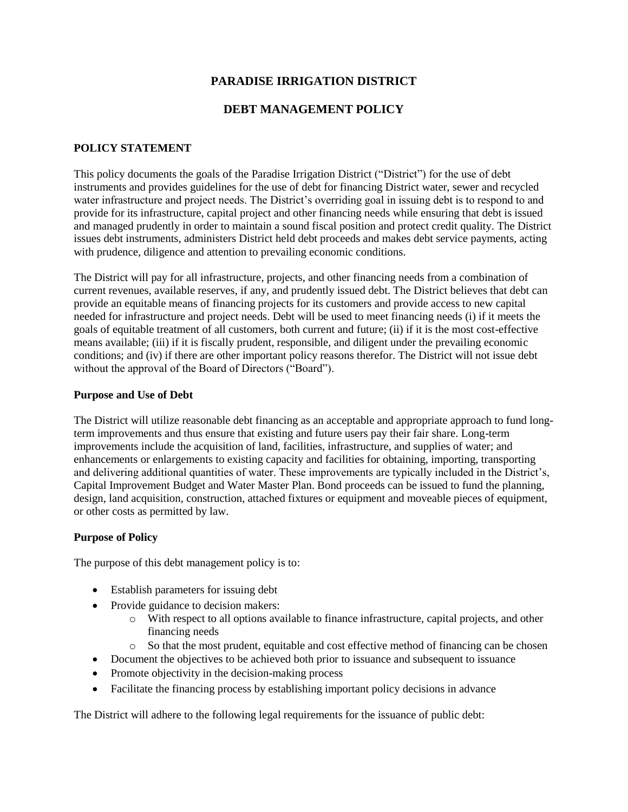# **PARADISE IRRIGATION DISTRICT**

# **DEBT MANAGEMENT POLICY**

## **POLICY STATEMENT**

This policy documents the goals of the Paradise Irrigation District ("District") for the use of debt instruments and provides guidelines for the use of debt for financing District water, sewer and recycled water infrastructure and project needs. The District's overriding goal in issuing debt is to respond to and provide for its infrastructure, capital project and other financing needs while ensuring that debt is issued and managed prudently in order to maintain a sound fiscal position and protect credit quality. The District issues debt instruments, administers District held debt proceeds and makes debt service payments, acting with prudence, diligence and attention to prevailing economic conditions.

The District will pay for all infrastructure, projects, and other financing needs from a combination of current revenues, available reserves, if any, and prudently issued debt. The District believes that debt can provide an equitable means of financing projects for its customers and provide access to new capital needed for infrastructure and project needs. Debt will be used to meet financing needs (i) if it meets the goals of equitable treatment of all customers, both current and future; (ii) if it is the most cost-effective means available; (iii) if it is fiscally prudent, responsible, and diligent under the prevailing economic conditions; and (iv) if there are other important policy reasons therefor. The District will not issue debt without the approval of the Board of Directors ("Board").

#### **Purpose and Use of Debt**

The District will utilize reasonable debt financing as an acceptable and appropriate approach to fund longterm improvements and thus ensure that existing and future users pay their fair share. Long-term improvements include the acquisition of land, facilities, infrastructure, and supplies of water; and enhancements or enlargements to existing capacity and facilities for obtaining, importing, transporting and delivering additional quantities of water. These improvements are typically included in the District's, Capital Improvement Budget and Water Master Plan. Bond proceeds can be issued to fund the planning, design, land acquisition, construction, attached fixtures or equipment and moveable pieces of equipment, or other costs as permitted by law.

#### **Purpose of Policy**

The purpose of this debt management policy is to:

- Establish parameters for issuing debt
- Provide guidance to decision makers:
	- o With respect to all options available to finance infrastructure, capital projects, and other financing needs
	- o So that the most prudent, equitable and cost effective method of financing can be chosen
- Document the objectives to be achieved both prior to issuance and subsequent to issuance
- Promote objectivity in the decision-making process
- Facilitate the financing process by establishing important policy decisions in advance

The District will adhere to the following legal requirements for the issuance of public debt: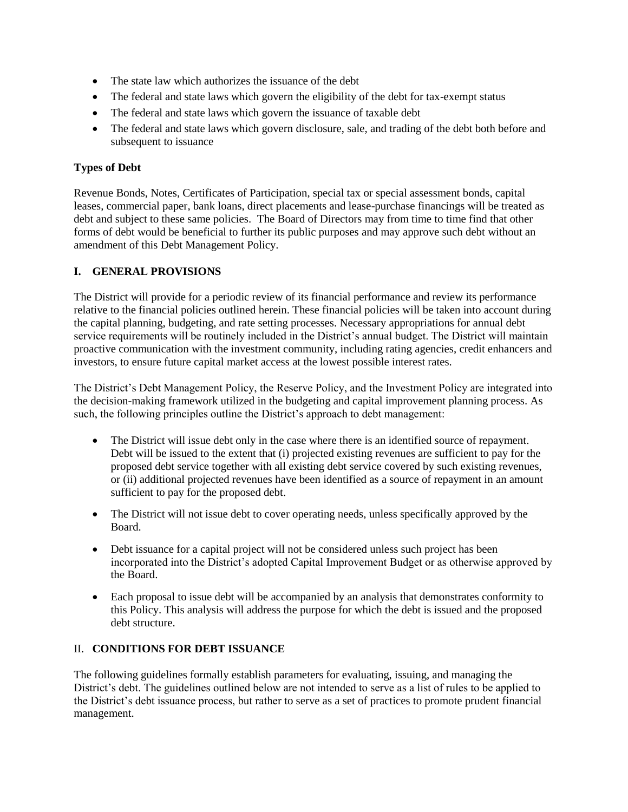- The state law which authorizes the issuance of the debt
- The federal and state laws which govern the eligibility of the debt for tax-exempt status
- The federal and state laws which govern the issuance of taxable debt
- The federal and state laws which govern disclosure, sale, and trading of the debt both before and subsequent to issuance

# **Types of Debt**

Revenue Bonds, Notes, Certificates of Participation, special tax or special assessment bonds, capital leases, commercial paper, bank loans, direct placements and lease-purchase financings will be treated as debt and subject to these same policies. The Board of Directors may from time to time find that other forms of debt would be beneficial to further its public purposes and may approve such debt without an amendment of this Debt Management Policy.

# **I. GENERAL PROVISIONS**

The District will provide for a periodic review of its financial performance and review its performance relative to the financial policies outlined herein. These financial policies will be taken into account during the capital planning, budgeting, and rate setting processes. Necessary appropriations for annual debt service requirements will be routinely included in the District's annual budget. The District will maintain proactive communication with the investment community, including rating agencies, credit enhancers and investors, to ensure future capital market access at the lowest possible interest rates.

The District's Debt Management Policy, the Reserve Policy, and the Investment Policy are integrated into the decision-making framework utilized in the budgeting and capital improvement planning process. As such, the following principles outline the District's approach to debt management:

- The District will issue debt only in the case where there is an identified source of repayment. Debt will be issued to the extent that (i) projected existing revenues are sufficient to pay for the proposed debt service together with all existing debt service covered by such existing revenues, or (ii) additional projected revenues have been identified as a source of repayment in an amount sufficient to pay for the proposed debt.
- The District will not issue debt to cover operating needs, unless specifically approved by the Board.
- Debt issuance for a capital project will not be considered unless such project has been incorporated into the District's adopted Capital Improvement Budget or as otherwise approved by the Board.
- Each proposal to issue debt will be accompanied by an analysis that demonstrates conformity to this Policy. This analysis will address the purpose for which the debt is issued and the proposed debt structure.

## II. **CONDITIONS FOR DEBT ISSUANCE**

The following guidelines formally establish parameters for evaluating, issuing, and managing the District's debt. The guidelines outlined below are not intended to serve as a list of rules to be applied to the District's debt issuance process, but rather to serve as a set of practices to promote prudent financial management.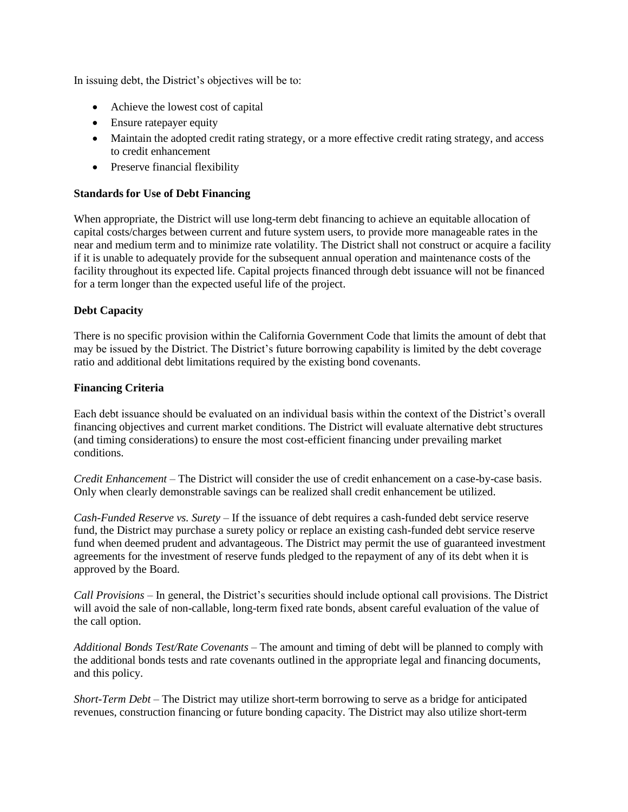In issuing debt, the District's objectives will be to:

- Achieve the lowest cost of capital
- Ensure ratepayer equity
- Maintain the adopted credit rating strategy, or a more effective credit rating strategy, and access to credit enhancement
- Preserve financial flexibility

# **Standards for Use of Debt Financing**

When appropriate, the District will use long-term debt financing to achieve an equitable allocation of capital costs/charges between current and future system users, to provide more manageable rates in the near and medium term and to minimize rate volatility. The District shall not construct or acquire a facility if it is unable to adequately provide for the subsequent annual operation and maintenance costs of the facility throughout its expected life. Capital projects financed through debt issuance will not be financed for a term longer than the expected useful life of the project.

# **Debt Capacity**

There is no specific provision within the California Government Code that limits the amount of debt that may be issued by the District. The District's future borrowing capability is limited by the debt coverage ratio and additional debt limitations required by the existing bond covenants.

## **Financing Criteria**

Each debt issuance should be evaluated on an individual basis within the context of the District's overall financing objectives and current market conditions. The District will evaluate alternative debt structures (and timing considerations) to ensure the most cost-efficient financing under prevailing market conditions.

*Credit Enhancement* – The District will consider the use of credit enhancement on a case-by-case basis. Only when clearly demonstrable savings can be realized shall credit enhancement be utilized.

*Cash-Funded Reserve vs. Surety* – If the issuance of debt requires a cash-funded debt service reserve fund, the District may purchase a surety policy or replace an existing cash-funded debt service reserve fund when deemed prudent and advantageous. The District may permit the use of guaranteed investment agreements for the investment of reserve funds pledged to the repayment of any of its debt when it is approved by the Board.

*Call Provisions* – In general, the District's securities should include optional call provisions. The District will avoid the sale of non-callable, long-term fixed rate bonds, absent careful evaluation of the value of the call option.

*Additional Bonds Test/Rate Covenants* – The amount and timing of debt will be planned to comply with the additional bonds tests and rate covenants outlined in the appropriate legal and financing documents, and this policy.

*Short-Term Debt* – The District may utilize short-term borrowing to serve as a bridge for anticipated revenues, construction financing or future bonding capacity. The District may also utilize short-term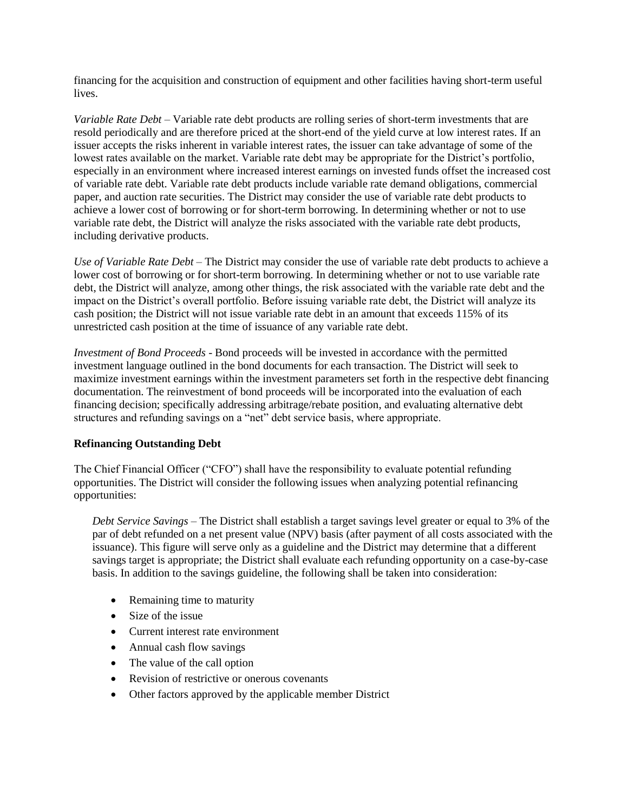financing for the acquisition and construction of equipment and other facilities having short-term useful lives.

*Variable Rate Debt* – Variable rate debt products are rolling series of short-term investments that are resold periodically and are therefore priced at the short-end of the yield curve at low interest rates. If an issuer accepts the risks inherent in variable interest rates, the issuer can take advantage of some of the lowest rates available on the market. Variable rate debt may be appropriate for the District's portfolio, especially in an environment where increased interest earnings on invested funds offset the increased cost of variable rate debt. Variable rate debt products include variable rate demand obligations, commercial paper, and auction rate securities. The District may consider the use of variable rate debt products to achieve a lower cost of borrowing or for short-term borrowing. In determining whether or not to use variable rate debt, the District will analyze the risks associated with the variable rate debt products, including derivative products.

*Use of Variable Rate Debt –* The District may consider the use of variable rate debt products to achieve a lower cost of borrowing or for short-term borrowing. In determining whether or not to use variable rate debt, the District will analyze, among other things, the risk associated with the variable rate debt and the impact on the District's overall portfolio. Before issuing variable rate debt, the District will analyze its cash position; the District will not issue variable rate debt in an amount that exceeds 115% of its unrestricted cash position at the time of issuance of any variable rate debt.

*Investment of Bond Proceeds* - Bond proceeds will be invested in accordance with the permitted investment language outlined in the bond documents for each transaction. The District will seek to maximize investment earnings within the investment parameters set forth in the respective debt financing documentation. The reinvestment of bond proceeds will be incorporated into the evaluation of each financing decision; specifically addressing arbitrage/rebate position, and evaluating alternative debt structures and refunding savings on a "net" debt service basis, where appropriate.

## **Refinancing Outstanding Debt**

The Chief Financial Officer ("CFO") shall have the responsibility to evaluate potential refunding opportunities. The District will consider the following issues when analyzing potential refinancing opportunities:

*Debt Service Savings* – The District shall establish a target savings level greater or equal to 3% of the par of debt refunded on a net present value (NPV) basis (after payment of all costs associated with the issuance). This figure will serve only as a guideline and the District may determine that a different savings target is appropriate; the District shall evaluate each refunding opportunity on a case-by-case basis. In addition to the savings guideline, the following shall be taken into consideration:

- Remaining time to maturity
- Size of the issue
- Current interest rate environment
- Annual cash flow savings
- The value of the call option
- Revision of restrictive or onerous covenants
- Other factors approved by the applicable member District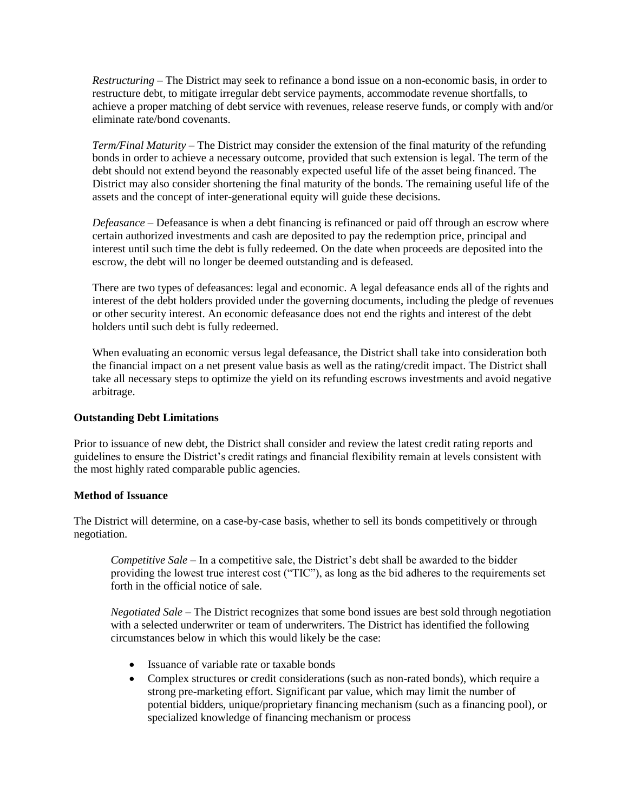*Restructuring* – The District may seek to refinance a bond issue on a non-economic basis, in order to restructure debt, to mitigate irregular debt service payments, accommodate revenue shortfalls, to achieve a proper matching of debt service with revenues, release reserve funds, or comply with and/or eliminate rate/bond covenants.

*Term/Final Maturity* – The District may consider the extension of the final maturity of the refunding bonds in order to achieve a necessary outcome, provided that such extension is legal. The term of the debt should not extend beyond the reasonably expected useful life of the asset being financed. The District may also consider shortening the final maturity of the bonds. The remaining useful life of the assets and the concept of inter-generational equity will guide these decisions.

*Defeasance* – Defeasance is when a debt financing is refinanced or paid off through an escrow where certain authorized investments and cash are deposited to pay the redemption price, principal and interest until such time the debt is fully redeemed. On the date when proceeds are deposited into the escrow, the debt will no longer be deemed outstanding and is defeased.

There are two types of defeasances: legal and economic. A legal defeasance ends all of the rights and interest of the debt holders provided under the governing documents, including the pledge of revenues or other security interest. An economic defeasance does not end the rights and interest of the debt holders until such debt is fully redeemed.

When evaluating an economic versus legal defeasance, the District shall take into consideration both the financial impact on a net present value basis as well as the rating/credit impact. The District shall take all necessary steps to optimize the yield on its refunding escrows investments and avoid negative arbitrage.

## **Outstanding Debt Limitations**

Prior to issuance of new debt, the District shall consider and review the latest credit rating reports and guidelines to ensure the District's credit ratings and financial flexibility remain at levels consistent with the most highly rated comparable public agencies.

## **Method of Issuance**

The District will determine, on a case-by-case basis, whether to sell its bonds competitively or through negotiation.

*Competitive Sale* – In a competitive sale, the District's debt shall be awarded to the bidder providing the lowest true interest cost ("TIC"), as long as the bid adheres to the requirements set forth in the official notice of sale.

*Negotiated Sale* – The District recognizes that some bond issues are best sold through negotiation with a selected underwriter or team of underwriters. The District has identified the following circumstances below in which this would likely be the case:

- Issuance of variable rate or taxable bonds
- Complex structures or credit considerations (such as non-rated bonds), which require a strong pre-marketing effort. Significant par value, which may limit the number of potential bidders, unique/proprietary financing mechanism (such as a financing pool), or specialized knowledge of financing mechanism or process